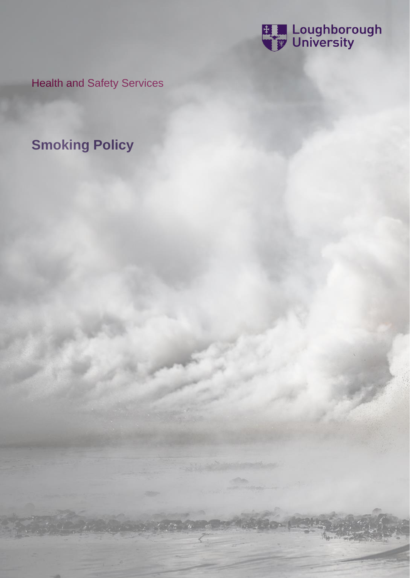

Health and Safety Services

**Smoking Policy**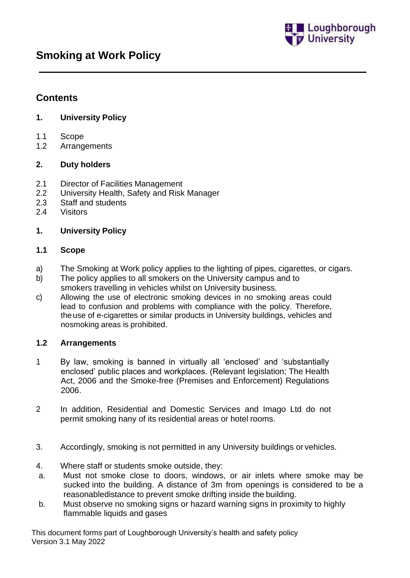

# **Contents**

## **1. University Policy**

- 1.1 Scope
- 1.2 Arrangements

### **2. Duty holders**

- 2.1 Director of Facilities Management
- 2.2 University Health, Safety and Risk Manager
- 2.3 Staff and students
- 2.4 Visitors

### **1. University Policy**

#### **1.1 Scope**

- a) The Smoking at Work policy applies to the lighting of pipes, cigarettes, or cigars.
- b) The policy applies to all smokers on the University campus and to smokers travelling in vehicles whilst on University business.
- c) Allowing the use of electronic smoking devices in no smoking areas could lead to confusion and problems with compliance with the policy. Therefore, the use of e-cigarettes or similar products in University buildings, vehicles and nosmoking areas is prohibited.

### **1.2 Arrangements**

- 1 By law, smoking is banned in virtually all 'enclosed' and 'substantially enclosed' public places and workplaces. (Relevant legislation; The Health Act, 2006 and the Smoke-free (Premises and Enforcement) Regulations 2006.
- 2 In addition, Residential and Domestic Services and Imago Ltd do not permit smoking hany of its residential areas or hotel rooms.
- 3. Accordingly, smoking is not permitted in any University buildings or vehicles.
- 4. Where staff or students smoke outside, they:
- a. Must not smoke close to doors, windows, or air inlets where smoke may be sucked into the building. A distance of 3m from openings is considered to be a reasonabledistance to prevent smoke drifting inside the building.
- b. Must observe no smoking signs or hazard warning signs in proximity to highly flammable liquids and gases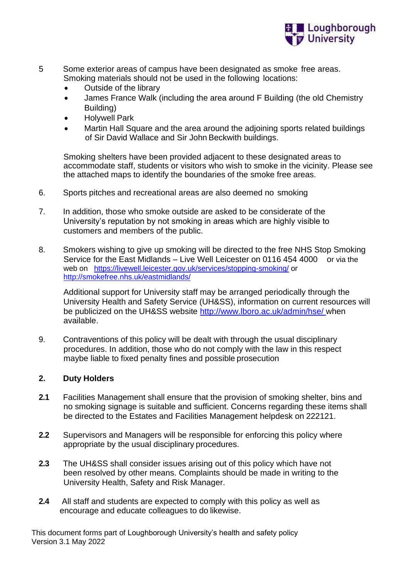

- 5 Some exterior areas of campus have been designated as smoke free areas. Smoking materials should not be used in the following locations:
	- Outside of the library
	- James France Walk (including the area around F Building (the old Chemistry Building)
	- Holywell Park
	- Martin Hall Square and the area around the adjoining sports related buildings of Sir David Wallace and Sir John Beckwith buildings.

Smoking shelters have been provided adjacent to these designated areas to accommodate staff, students or visitors who wish to smoke in the vicinity. Please see the attached maps to identify the boundaries of the smoke free areas.

- 6. Sports pitches and recreational areas are also deemed no smoking
- 7. In addition, those who smoke outside are asked to be considerate of the University's reputation by not smoking in areas which are highly visible to customers and members of the public.
- 8. Smokers wishing to give up smoking will be directed to the free NHS Stop Smoking Service for the East Midlands – Live Well Leicester on 0116 454 4000 or via the web on <https://livewell.leicester.gov.uk/services/stopping-smoking/> or <http://smokefree.nhs.uk/eastmidlands/>

Additional support for University staff may be arranged periodically through the University Health and Safety Service (UH&SS), information on current resources will be publicized on the UH&SS website<http://www.lboro.ac.uk/admin/hse/> when available.

9. Contraventions of this policy will be dealt with through the usual disciplinary procedures. In addition, those who do not comply with the law in this respect maybe liable to fixed penalty fines and possible prosecution

#### **2. Duty Holders**

- **2.1** Facilities Management shall ensure that the provision of smoking shelter, bins and no smoking signage is suitable and sufficient. Concerns regarding these items shall be directed to the Estates and Facilities Management helpdesk on 222121.
- **2.2** Supervisors and Managers will be responsible for enforcing this policy where appropriate by the usual disciplinary procedures.
- **2.3** The UH&SS shall consider issues arising out of this policy which have not been resolved by other means. Complaints should be made in writing to the University Health, Safety and Risk Manager.
- **2.4** All staff and students are expected to comply with this policy as well as encourage and educate colleagues to do likewise.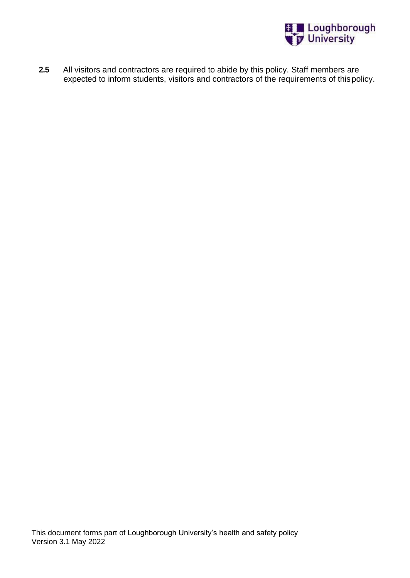

**2.5** All visitors and contractors are required to abide by this policy. Staff members are expected to inform students, visitors and contractors of the requirements of thispolicy.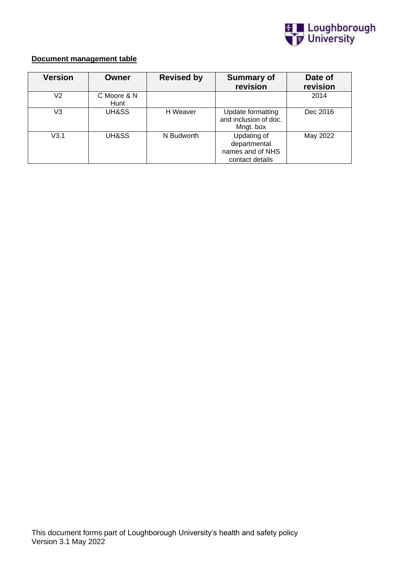

## **Document management table**

| <b>Version</b> | Owner               | <b>Revised by</b> | <b>Summary of</b><br>revision                                      | Date of<br>revision |
|----------------|---------------------|-------------------|--------------------------------------------------------------------|---------------------|
| V2             | C Moore & N<br>Hunt |                   |                                                                    | 2014                |
| V3             | UH&SS               | H Weaver          | Update formatting<br>and inclusion of doc.<br>Mngt. box            | Dec 2016            |
| V3.1           | UH&SS               | N Budworth        | Updating of<br>departmental<br>names and of NHS<br>contact details | May 2022            |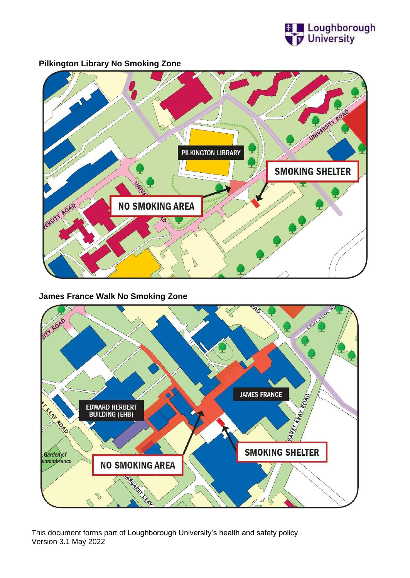

UNIVERSITY ROAD **PILKINGTON LIBRARY SMOKING SHELTER** ERSIT ROAD **NO SMOKING AREA** 

**Pilkington Library No Smoking Zone**

### **James France Walk No Smoking Zone**

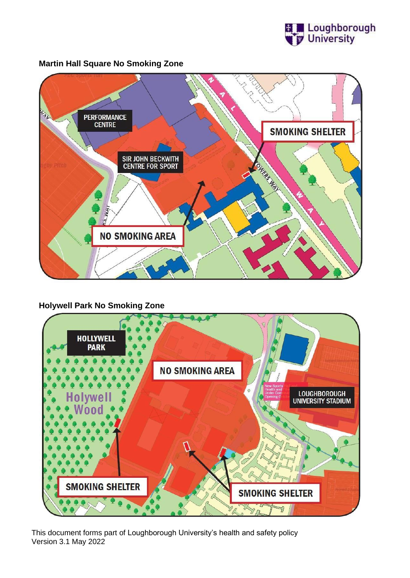



**Martin Hall Square No Smoking Zone**

# **Holywell Park No Smoking Zone**